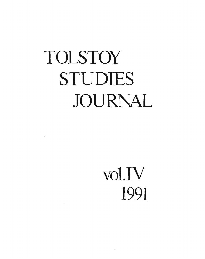## TOLSTOY STUDIES JOURNAL

 $\mathcal{L}^{\text{max}}_{\text{max}}$ 

## vol.IV 1991